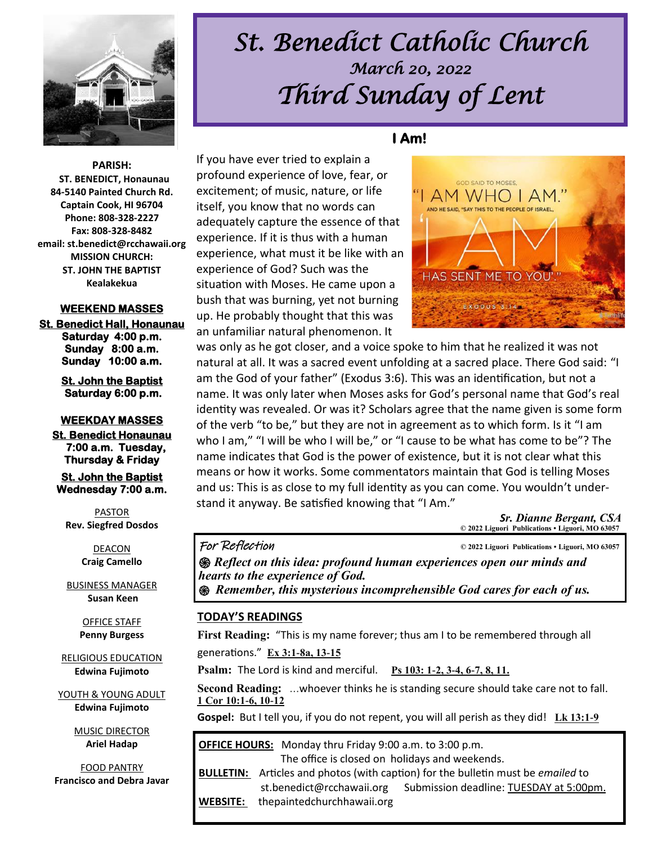

# *St. Benedict Catholic Church March 20, 2022 Third Sunday of Lent*

**PARISH: ST. BENEDICT, Honaunau 84-5140 Painted Church Rd. Captain Cook, HI 96704 Phone: 808-328-2227 Fax: 808-328-8482 email: st.benedict@rcchawaii.org MISSION CHURCH: ST. JOHN THE BAPTIST Kealakekua** 

#### **WEEKEND MASSES**

**St. Benedict Hall, Honaunau Saturday 4:00 p.m. Sunday 8:00 a.m. Sunday 10:00 a.m.** 

> **St. John the Baptist Saturday 6:00 p.m.**

#### **WEEKDAY MASSES**

**St. Benedict Honaunau 7:00 a.m. Tuesday, Thursday & Friday** 

**St. John the Baptist Wednesday 7:00 a.m.** 

PASTOR **Rev. Siegfred Dosdos**

> DEACON **Craig Camello**

BUSINESS MANAGER **Susan Keen**

> OFFICE STAFF **Penny Burgess**

RELIGIOUS EDUCATION **Edwina Fujimoto**

YOUTH & YOUNG ADULT **Edwina Fujimoto**

> MUSIC DIRECTOR **Ariel Hadap**

FOOD PANTRY **Francisco and Debra Javar** **I Am!** 



was only as he got closer, and a voice spoke to him that he realized it was not natural at all. It was a sacred event unfolding at a sacred place. There God said: "I am the God of your father" (Exodus 3:6). This was an identification, but not a name. It was only later when Moses asks for God's personal name that God's real identity was revealed. Or was it? Scholars agree that the name given is some form of the verb "to be," but they are not in agreement as to which form. Is it "I am who I am," "I will be who I will be," or "I cause to be what has come to be"? The name indicates that God is the power of existence, but it is not clear what this means or how it works. Some commentators maintain that God is telling Moses and us: This is as close to my full identity as you can come. You wouldn't understand it anyway. Be satisfied knowing that "I Am."

> *Sr. Dianne Bergant, CSA*   **© 2022 Liguori Publications • Liguori, MO 63057**

For Reflection **© 2022 Liguori Publications • Liguori, MO 63057** 

*֍ Reflect on this idea: profound human experiences open our minds and hearts to the experience of God. ֍ Remember, this mysterious incomprehensible God cares for each of us.*

#### **TODAY'S READINGS**

**First Reading:** "This is my name forever; thus am I to be remembered through all

generations." **[Ex 3:1-8a, 13-15](https://bible.usccb.org/bible/exodus/3?1)**

If you have ever tried to explain a profound experience of love, fear, or excitement; of music, nature, or life itself, you know that no words can

experience. If it is thus with a human

an unfamiliar natural phenomenon. It

experience of God? Such was the

**Psalm:** The Lord is kind and merciful. **[Ps 103: 1-2, 3-4, 6-7, 8, 11.](https://bible.usccb.org/bible/psalms/103?1)**

**Second Reading:** ...whoever thinks he is standing secure should take care not to fall. **[1 Cor 10:1-6, 10-12](https://bible.usccb.org/bible/1corinthians/10?1)**

**Gospel:** But I tell you, if you do not repent, you will all perish as they did! **[Lk 13:1-9](https://bible.usccb.org/bible/luke/13?1)** 

| OFFICE HOURS: Monday thru Friday 9:00 a.m. to 3:00 p.m. |                                                                                                |                                         |
|---------------------------------------------------------|------------------------------------------------------------------------------------------------|-----------------------------------------|
| The office is closed on holidays and weekends.          |                                                                                                |                                         |
|                                                         | <b>BULLETIN:</b> Articles and photos (with caption) for the bulletin must be <i>emailed</i> to |                                         |
|                                                         | st.benedict@rcchawaii.org                                                                      | Submission deadline: TUESDAY at 5:00pm. |
| <b>WEBSITE:</b>                                         | thepaintedchurchhawaii.org                                                                     |                                         |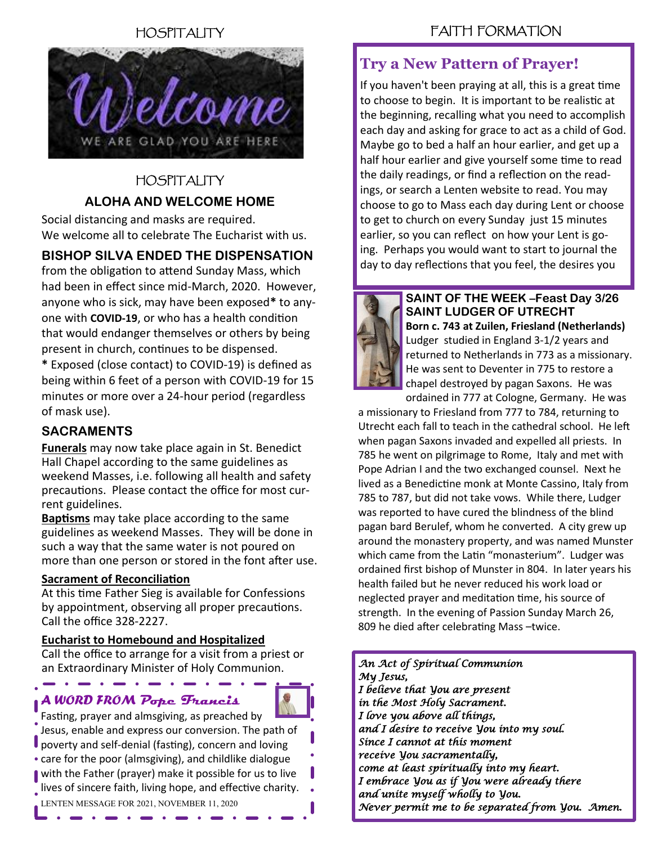# HOSPITALITY



# HOSPITALITY **ALOHA AND WELCOME HOME**

Social distancing and masks are required. We welcome all to celebrate The Eucharist with us.

# **BISHOP SILVA ENDED THE DISPENSATION**

from the obligation to attend Sunday Mass, which had been in effect since mid-March, 2020. However, anyone who is sick, may have been exposed**\*** to anyone with **COVID-19**, or who has a health condition that would endanger themselves or others by being present in church, continues to be dispensed.

**\*** Exposed (close contact) to COVID-19) is defined as being within 6 feet of a person with COVID-19 for 15 minutes or more over a 24-hour period (regardless of mask use).

### **SACRAMENTS**

**Funerals** may now take place again in St. Benedict Hall Chapel according to the same guidelines as weekend Masses, i.e. following all health and safety precautions. Please contact the office for most current guidelines.

**Baptisms** may take place according to the same guidelines as weekend Masses. They will be done in such a way that the same water is not poured on more than one person or stored in the font after use.

#### **Sacrament of Reconciliation**

At this time Father Sieg is available for Confessions by appointment, observing all proper precautions. Call the office 328-2227.

#### **Eucharist to Homebound and Hospitalized**

Call the office to arrange for a visit from a priest or an Extraordinary Minister of Holy Communion.

# *A WORD FROM* **Pope Francis**



Fasting, prayer and almsgiving, as preached by Jesus, enable and express our conversion. The path of poverty and self-denial (fasting), concern and loving care for the poor (almsgiving), and childlike dialogue with the Father (prayer) make it possible for us to live lives of sincere faith, living hope, and effective charity. LENTEN MESSAGE FOR 2021, NOVEMBER 11, 2020

# FAITH FORMATION

# **Try a New Pattern of Prayer!**

If you haven't been praying at all, this is a great time to choose to begin. It is important to be realistic at the beginning, recalling what you need to accomplish each day and asking for grace to act as a child of God. Maybe go to bed a half an hour earlier, and get up a half hour earlier and give yourself some time to read the daily readings, or find a reflection on the readings, or search a Lenten website to read. You may choose to go to Mass each day during Lent or choose to get to church on every Sunday just 15 minutes earlier, so you can reflect on how your Lent is going. Perhaps you would want to start to journal the day to day reflections that you feel, the desires you



**SAINT OF THE WEEK –Feast Day 3/26 SAINT LUDGER OF UTRECHT Born c. 743 at Zuilen, Friesland (Netherlands)**  Ludger studied in England 3-1/2 years and returned to Netherlands in 773 as a missionary. He was sent to Deventer in 775 to restore a chapel destroyed by pagan Saxons. He was ordained in 777 at Cologne, Germany. He was

a missionary to Friesland from 777 to 784, returning to Utrecht each fall to teach in the cathedral school. He left when pagan Saxons invaded and expelled all priests. In 785 he went on pilgrimage to Rome, Italy and met with Pope Adrian I and the two exchanged counsel. Next he lived as a Benedictine monk at Monte Cassino, Italy from 785 to 787, but did not take vows. While there, Ludger was reported to have cured the blindness of the blind pagan bard Berulef, whom he converted. A city grew up around the monastery property, and was named Munster which came from the Latin "monasterium". Ludger was ordained first bishop of Munster in 804. In later years his health failed but he never reduced his work load or neglected prayer and meditation time, his source of strength. In the evening of Passion Sunday March 26, 809 he died after celebrating Mass –twice.

*An Act of Spiritual Communion My Jesus, I believe that You are present in the Most Holy Sacrament. I love you above all things, and I desire to receive You into my soul. Since I cannot at this moment receive You sacramentally, come at least spiritually into my heart. I embrace You as if You were already there and unite myself wholly to You. Never permit me to be separated from You. Amen.*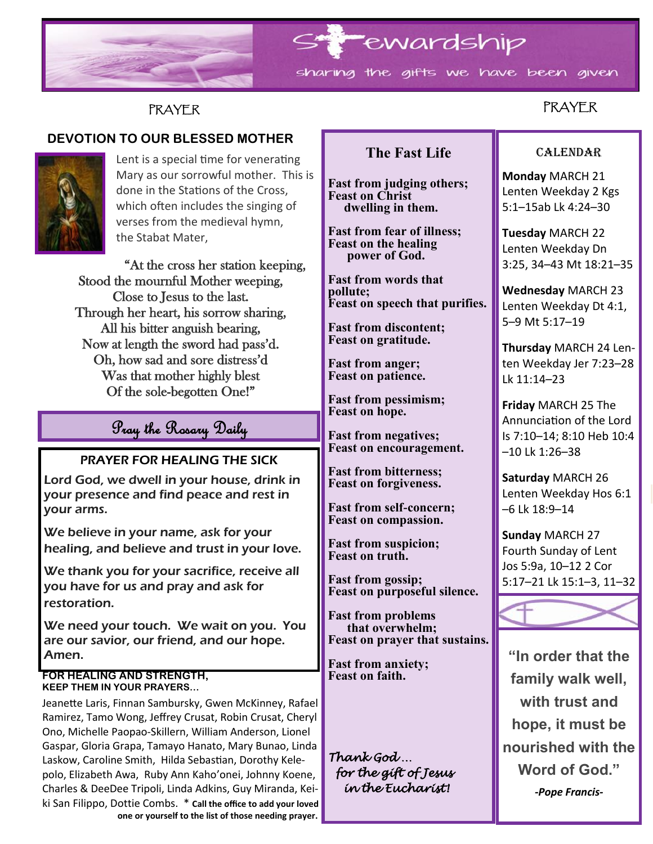

# **PRAYER**

# **DEVOTION TO OUR BLESSED MOTHER**



Lent is a special time for venerating Mary as our sorrowful mother. This is done in the Stations of the Cross, which often includes the singing of verses from the medieval hymn, the Stabat Mater,

"At the cross her station keeping, Stood the mournful Mother weeping, Close to Jesus to the last. Through her heart, his sorrow sharing, All his bitter anguish bearing, Now at length the sword had pass'd. Oh, how sad and sore distress'd Was that mother highly blest Of the sole-begotten One!"

# Pray the Rosary Daily

### PRAYER FOR HEALING THE SICK

Lord God, we dwell in your house, drink in your presence and find peace and rest in your arms.

We believe in your name, ask for your healing, and believe and trust in your love.

We thank you for your sacrifice, receive all you have for us and pray and ask for restoration.

We need your touch. We wait on you. You are our savior, our friend, and our hope. Amen.

#### **FOR HEALING AND STRENGTH, KEEP THEM IN YOUR PRAYERS…**

Jeanette Laris, Finnan Sambursky, Gwen McKinney, Rafael Ramirez, Tamo Wong, Jeffrey Crusat, Robin Crusat, Cheryl Ono, Michelle Paopao-Skillern, William Anderson, Lionel Gaspar, Gloria Grapa, Tamayo Hanato, Mary Bunao, Linda Laskow, Caroline Smith, Hilda Sebastian, Dorothy Kelepolo, Elizabeth Awa, Ruby Ann Kaho'onei, Johnny Koene, Charles & DeeDee Tripoli, Linda Adkins, Guy Miranda, Keiki San Filippo, Dottie Combs. \* **Call the office to add your loved one or yourself to the list of those needing prayer.**

# **The Fast Life**

**Fast from judging others; Feast on Christ dwelling in them.**

**Fast from fear of illness; Feast on the healing power of God.**

**Fast from words that pollute; Feast on speech that purifies.**

**Fast from discontent; Feast on gratitude.**

**Fast from anger; Feast on patience.**

**Fast from pessimism; Feast on hope.**

**Fast from negatives; Feast on encouragement.**

**Fast from bitterness; Feast on forgiveness.**

**Fast from self-concern; Feast on compassion.**

**Fast from suspicion; Feast on truth.**

**Fast from gossip; Feast on purposeful silence.**

**Fast from problems that overwhelm; Feast on prayer that sustains.**

**Fast from anxiety; Feast on faith.**

*Thank God … for the gift of Jesus in the Eucharist!* 

# PRAYER

#### CALENDAR

**Monday** MARCH 21 Lenten Weekday 2 Kgs 5:1–15ab Lk 4:24–30

**Tuesday** MARCH 22 Lenten Weekday Dn 3:25, 34–43 Mt 18:21–35

**Wednesday** MARCH 23 Lenten Weekday Dt 4:1, 5–9 Mt 5:17–19

**Thursday** MARCH 24 Lenten Weekday Jer 7:23–28 Lk 11:14–23

**Friday** MARCH 25 The Annunciation of the Lord Is 7:10–14; 8:10 Heb 10:4 –10 Lk 1:26–38

**Saturday** MARCH 26 Lenten Weekday Hos 6:1 –6 Lk 18:9–14

**Sunday** MARCH 27 Fourth Sunday of Lent Jos 5:9a, 10–12 2 Cor 5:17–21 Lk 15:1–3, 11–32



**"In order that the family walk well, with trust and hope, it must be nourished with the Word of God."** *-Pope Francis-*